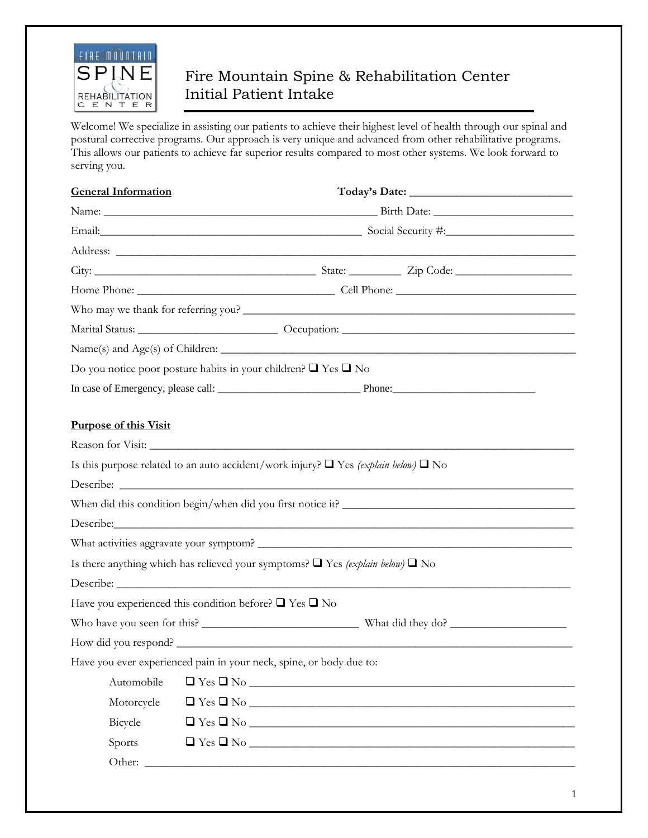

## Fire Mountain Spine & Rehabilitation Center Initial Patient Intake

Welcome! We specialize in assisting our patients to achieve their highest level of health through our spinal and postural corrective programs. Our approach is very unique and advanced from other rehabilitative programs. This allows our patients to achieve far superior results compared to most other systems. We look forward to serving you.

| <b>General Information</b>                                                                    |  |                             |  |
|-----------------------------------------------------------------------------------------------|--|-----------------------------|--|
|                                                                                               |  |                             |  |
| Email: Social Security #: Social Security #:                                                  |  |                             |  |
|                                                                                               |  |                             |  |
|                                                                                               |  |                             |  |
|                                                                                               |  |                             |  |
| Who may we thank for referring you?                                                           |  |                             |  |
|                                                                                               |  |                             |  |
|                                                                                               |  |                             |  |
| Do you notice poor posture habits in your children? $\Box$ Yes $\Box$ No                      |  |                             |  |
|                                                                                               |  |                             |  |
|                                                                                               |  |                             |  |
| <b>Purpose of this Visit</b>                                                                  |  |                             |  |
|                                                                                               |  |                             |  |
| Is this purpose related to an auto accident/work injury? $\Box$ Yes (explain below) $\Box$ No |  |                             |  |
|                                                                                               |  |                             |  |
| When did this condition begin/when did you first notice it?                                   |  |                             |  |
|                                                                                               |  |                             |  |
| What activities aggravate your symptom?                                                       |  |                             |  |
| Is there anything which has relieved your symptoms? $\Box$ Yes (explain below) $\Box$ No      |  |                             |  |
|                                                                                               |  |                             |  |
| Have you experienced this condition before? $\square$ Yes $\square$ No                        |  |                             |  |
|                                                                                               |  |                             |  |
| How did you respond?                                                                          |  |                             |  |
| Have you ever experienced pain in your neck, spine, or body due to:                           |  |                             |  |
| Automobile                                                                                    |  |                             |  |
| Motorcycle                                                                                    |  |                             |  |
| Bicycle                                                                                       |  |                             |  |
| Sports                                                                                        |  | $\Box$ Yes $\Box$ No $\Box$ |  |
|                                                                                               |  |                             |  |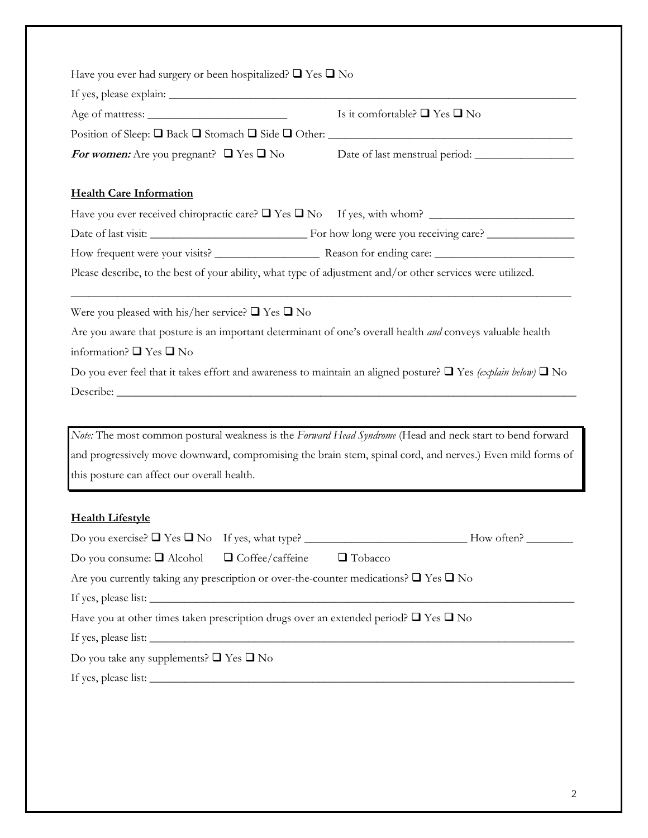|                                                                                                                                                                                                                                                                                                                                                   | Have you ever had surgery or been hospitalized? $\Box$ Yes $\Box$ No |  |  |  |
|---------------------------------------------------------------------------------------------------------------------------------------------------------------------------------------------------------------------------------------------------------------------------------------------------------------------------------------------------|----------------------------------------------------------------------|--|--|--|
|                                                                                                                                                                                                                                                                                                                                                   |                                                                      |  |  |  |
|                                                                                                                                                                                                                                                                                                                                                   | Is it comfortable? $\Box$ Yes $\Box$ No                              |  |  |  |
|                                                                                                                                                                                                                                                                                                                                                   |                                                                      |  |  |  |
| <i>For women:</i> Are you pregnant? $\Box$ Yes $\Box$ No                                                                                                                                                                                                                                                                                          |                                                                      |  |  |  |
| <b>Health Care Information</b>                                                                                                                                                                                                                                                                                                                    |                                                                      |  |  |  |
|                                                                                                                                                                                                                                                                                                                                                   |                                                                      |  |  |  |
|                                                                                                                                                                                                                                                                                                                                                   |                                                                      |  |  |  |
|                                                                                                                                                                                                                                                                                                                                                   |                                                                      |  |  |  |
| Please describe, to the best of your ability, what type of adjustment and/or other services were utilized.                                                                                                                                                                                                                                        |                                                                      |  |  |  |
| Were you pleased with his/her service? $\Box$ Yes $\Box$ No<br>Are you aware that posture is an important determinant of one's overall health <i>and</i> conveys valuable health<br>information? $\Box$ Yes $\Box$ No<br>Do you ever feel that it takes effort and awareness to maintain an aligned posture? $\Box$ Yes (explain below) $\Box$ No |                                                                      |  |  |  |
| Note: The most common postural weakness is the Forward Head Syndrome (Head and neck start to bend forward                                                                                                                                                                                                                                         |                                                                      |  |  |  |
| and progressively move downward, compromising the brain stem, spinal cord, and nerves.) Even mild forms of                                                                                                                                                                                                                                        |                                                                      |  |  |  |
| this posture can affect our overall health.                                                                                                                                                                                                                                                                                                       |                                                                      |  |  |  |
|                                                                                                                                                                                                                                                                                                                                                   |                                                                      |  |  |  |
| <b>Health Lifestyle</b>                                                                                                                                                                                                                                                                                                                           |                                                                      |  |  |  |
|                                                                                                                                                                                                                                                                                                                                                   |                                                                      |  |  |  |
| Do you consume: $\Box$ Alcohol $\Box$ Coffee/caffeine $\Box$ Tobacco                                                                                                                                                                                                                                                                              |                                                                      |  |  |  |
| Are you currently taking any prescription or over-the-counter medications? $\square$ Yes $\square$ No                                                                                                                                                                                                                                             |                                                                      |  |  |  |
|                                                                                                                                                                                                                                                                                                                                                   |                                                                      |  |  |  |
| Have you at other times taken prescription drugs over an extended period? $\Box$ Yes $\Box$ No                                                                                                                                                                                                                                                    |                                                                      |  |  |  |
| If yes, please list:                                                                                                                                                                                                                                                                                                                              |                                                                      |  |  |  |
| Do you take any supplements? $\Box$ Yes $\Box$ No                                                                                                                                                                                                                                                                                                 |                                                                      |  |  |  |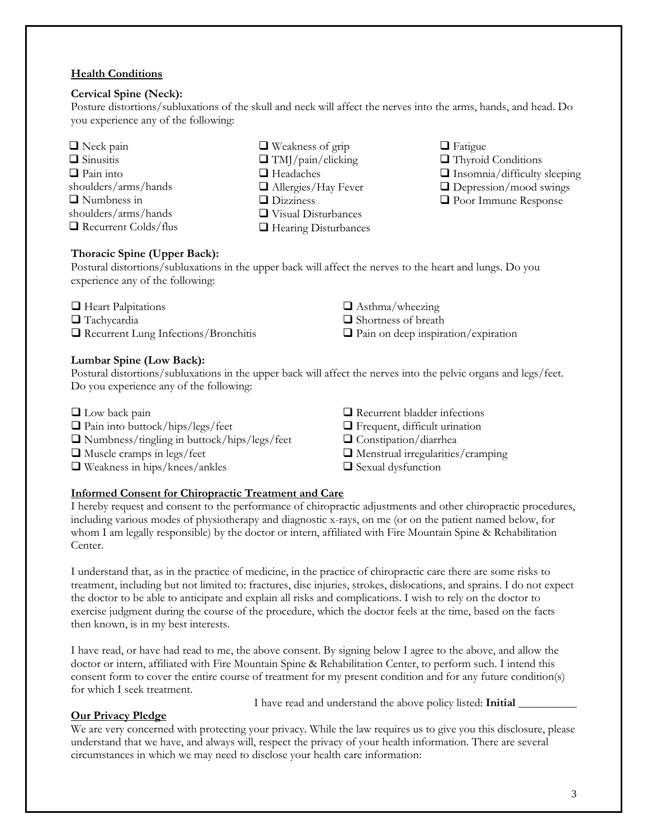## **Health Conditions**

#### **Cervical Spine (Neck):**

Posture distortions/subluxations of the skull and neck will affect the nerves into the arms, hands, and head. Do you experience any of the following:

- Neck pain  $\Box$  Sinusitis  $\Box$  Pain into shoulders/arms/hands **Numbness** in shoulders/arms/hands Recurrent Colds/flus
- Weakness of grip  $\Box$  TMJ/pain/clicking **□** Headaches ■ Allergies/Hay Fever Dizziness Visual Disturbances □ Hearing Disturbances
- **O** Fatigue
- Thyroid Conditions
- $\Box$  Insomnia/difficulty sleeping
- □ Depression/mood swings
- Poor Immune Response

## **Thoracic Spine (Upper Back):**

Postural distortions/subluxations in the upper back will affect the nerves to the heart and lungs. Do you experience any of the following:

| Heart Palpitations |  |
|--------------------|--|
|--------------------|--|

- Tachycardia
- Recurrent Lung Infections/Bronchitis

## **Lumbar Spine (Low Back):**

Postural distortions/subluxations in the upper back will affect the nerves into the pelvic organs and legs/feet. Do you experience any of the following:

- **Low back pain**
- □ Pain into buttock/hips/legs/feet
- Numbness/tingling in buttock/hips/legs/feet
- Muscle cramps in legs/feet
- Weakness in hips/knees/ankles
- $\Box$  Recurrent bladder infections
- **T** Frequent, difficult urination
- Constipation/diarrhea

 $\Box$  Asthma/wheezing □ Shortness of breath

 $\Box$  Menstrual irregularities/cramping

 $\Box$  Pain on deep inspiration/expiration

 $\Box$  Sexual dysfunction

## **Informed Consent for Chiropractic Treatment and Care**

I hereby request and consent to the performance of chiropractic adjustments and other chiropractic procedures, including various modes of physiotherapy and diagnostic x-rays, on me (or on the patient named below, for whom I am legally responsible) by the doctor or intern, affiliated with Fire Mountain Spine & Rehabilitation Center.

I understand that, as in the practice of medicine, in the practice of chiropractic care there are some risks to treatment, including but not limited to: fractures, disc injuries, strokes, dislocations, and sprains. I do not expect the doctor to be able to anticipate and explain all risks and complications. I wish to rely on the doctor to exercise judgment during the course of the procedure, which the doctor feels at the time, based on the facts then known, is in my best interests.

I have read, or have had read to me, the above consent. By signing below I agree to the above, and allow the doctor or intern, affiliated with Fire Mountain Spine & Rehabilitation Center, to perform such. I intend this consent form to cover the entire course of treatment for my present condition and for any future condition(s) for which I seek treatment.

#### **Our Privacy Pledge**

I have read and understand the above policy listed: **Initial** \_\_\_\_\_\_\_\_\_\_

We are very concerned with protecting your privacy. While the law requires us to give you this disclosure, please understand that we have, and always will, respect the privacy of your health information. There are several circumstances in which we may need to disclose your health care information: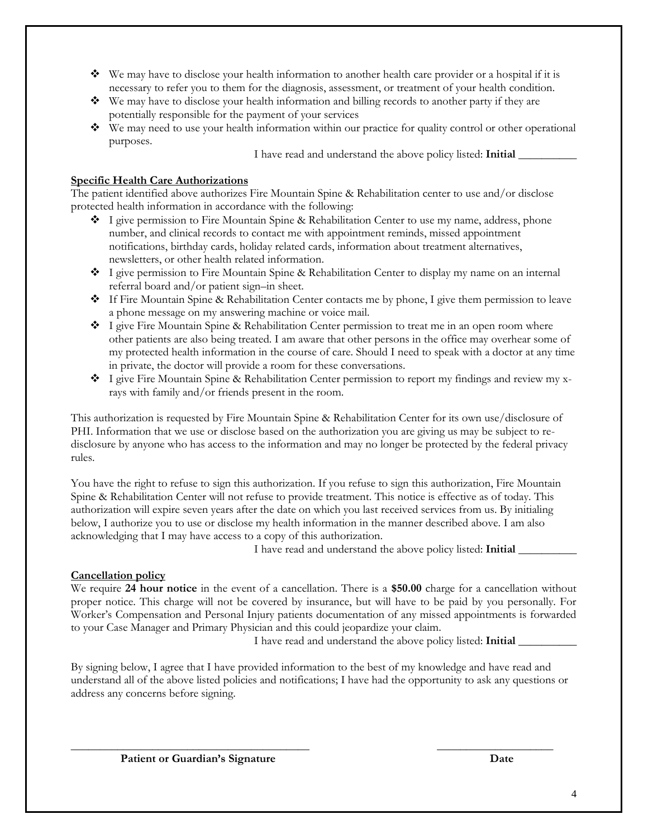- $\bullet$  We may have to disclose your health information to another health care provider or a hospital if it is necessary to refer you to them for the diagnosis, assessment, or treatment of your health condition.
- $\bullet\bullet\quad$  We may have to disclose your health information and billing records to another party if they are potentially responsible for the payment of your services
- We may need to use your health information within our practice for quality control or other operational purposes.

I have read and understand the above policy listed: **Initial** \_\_\_\_\_\_\_\_\_\_

#### **Specific Health Care Authorizations**

The patient identified above authorizes Fire Mountain Spine & Rehabilitation center to use and/or disclose protected health information in accordance with the following:

- I give permission to Fire Mountain Spine & Rehabilitation Center to use my name, address, phone number, and clinical records to contact me with appointment reminds, missed appointment notifications, birthday cards, holiday related cards, information about treatment alternatives, newsletters, or other health related information.
- ◆ I give permission to Fire Mountain Spine & Rehabilitation Center to display my name on an internal referral board and/or patient sign–in sheet.
- If Fire Mountain Spine & Rehabilitation Center contacts me by phone, I give them permission to leave a phone message on my answering machine or voice mail.
- $\bullet$  I give Fire Mountain Spine & Rehabilitation Center permission to treat me in an open room where other patients are also being treated. I am aware that other persons in the office may overhear some of my protected health information in the course of care. Should I need to speak with a doctor at any time in private, the doctor will provide a room for these conversations.
- $\bullet$  I give Fire Mountain Spine & Rehabilitation Center permission to report my findings and review my xrays with family and/or friends present in the room.

This authorization is requested by Fire Mountain Spine & Rehabilitation Center for its own use/disclosure of PHI. Information that we use or disclose based on the authorization you are giving us may be subject to redisclosure by anyone who has access to the information and may no longer be protected by the federal privacy rules.

You have the right to refuse to sign this authorization. If you refuse to sign this authorization, Fire Mountain Spine & Rehabilitation Center will not refuse to provide treatment. This notice is effective as of today. This authorization will expire seven years after the date on which you last received services from us. By initialing below, I authorize you to use or disclose my health information in the manner described above. I am also acknowledging that I may have access to a copy of this authorization.

I have read and understand the above policy listed: **Initial** \_\_\_\_\_\_\_\_\_\_

#### **Cancellation policy**

We require **24 hour notice** in the event of a cancellation. There is a **\$50.00** charge for a cancellation without proper notice. This charge will not be covered by insurance, but will have to be paid by you personally. For Worker's Compensation and Personal Injury patients documentation of any missed appointments is forwarded to your Case Manager and Primary Physician and this could jeopardize your claim.

I have read and understand the above policy listed: **Initial** \_\_\_\_\_\_\_\_\_\_

By signing below, I agree that I have provided information to the best of my knowledge and have read and understand all of the above listed policies and notifications; I have had the opportunity to ask any questions or address any concerns before signing.

\_\_\_\_\_\_\_\_\_\_\_\_\_\_\_\_\_\_\_\_\_\_\_\_\_\_\_\_\_\_\_\_\_\_\_\_\_\_\_\_\_ \_\_\_\_\_\_\_\_\_\_\_\_\_\_\_\_\_\_\_\_

Patient or Guardian's Signature **Date**